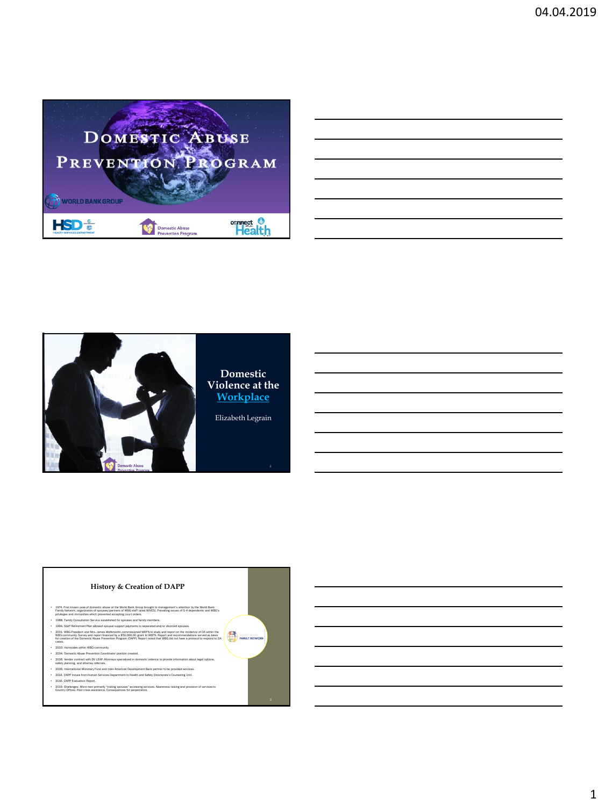

| <u> 1989 - Andrea Santa Andrea Andrea Andrea Andrea Andrea Andrea Andrea Andrea Andrea Andrea Andrea Andrea Andr</u>   |  |  |
|------------------------------------------------------------------------------------------------------------------------|--|--|
| <u> 1989 - Andrea Santa Andrea Andrea Andrea Andrea Andrea Andrea Andrea Andrea Andrea Andrea Andrea Andrea Andr</u>   |  |  |
| a series and the series of the series of the series of the series of the series of the series of the series of         |  |  |
| <u> 1989 - Jan Samuel Barbara, margaret e a seu a componente de la componentación de la componentación de la compo</u> |  |  |
|                                                                                                                        |  |  |
|                                                                                                                        |  |  |





1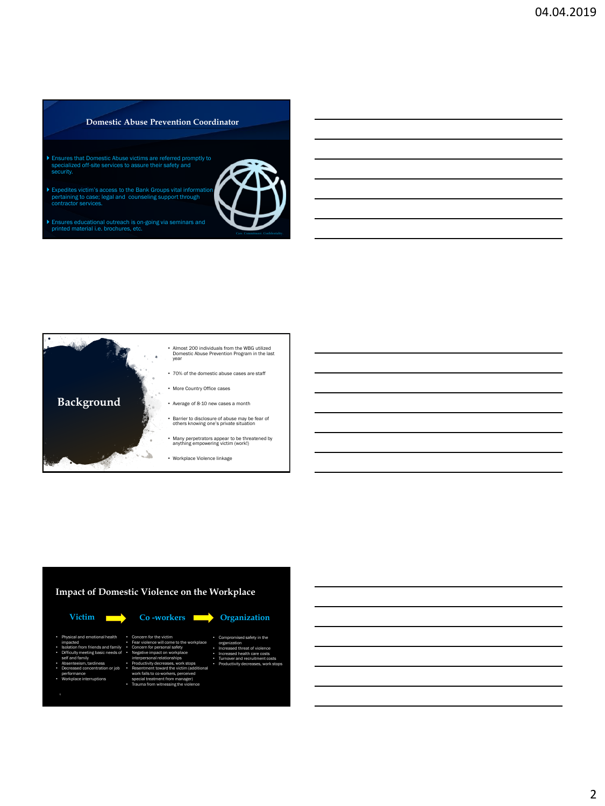### **Domestic Abuse Prevention Coordinator**

- Ensures that Domestic Abuse victims are referred promptly to specialized off-site services to assure their safety and security.
- Expedites victim's access to the Bank Groups vital information pertaining to case; legal and counseling support through contractor services.
- Ensures educational outreach is on-going via seminars and printed material i.e. brochures, etc.





# **Impact of Domestic Violence on the Workplace**



- Physical and emotional health impacted • Isolation from friends and family
- Difficulty meeting basic needs of self and family • Absenteeism, tardiness
- Decreased concentration or job performance
- Workplace interruptions special treatment from manager)
- Fear violence will come to the workplace • Concern for personal safety • Negative impact on workplace interpersonal relationships • Productivity decreases, work stops • Resentment toward the victim (additional work falls to co-workers, perceived
	- Trauma from witnessing the violence
- organization Increased threat of violence Increased health care costs Turnover and recruitment costs • Productivity decreases, work stops

sed safety in the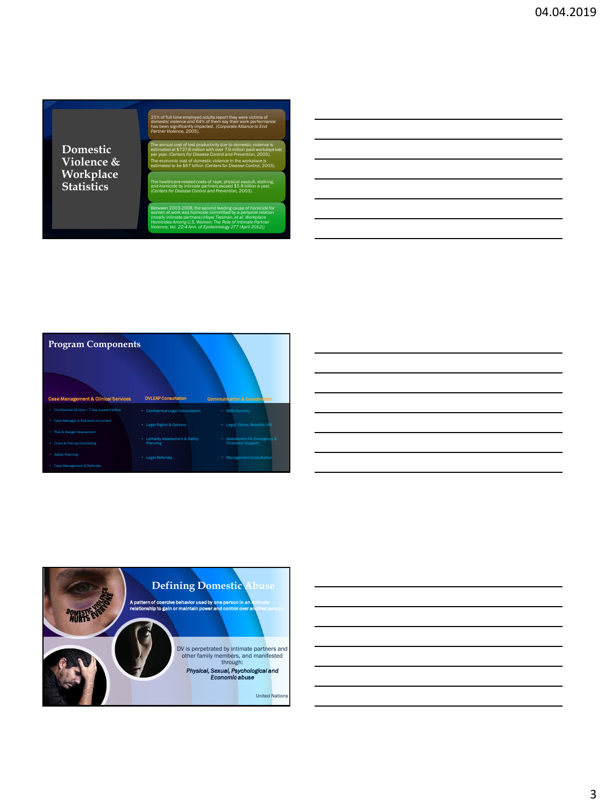**Domestic Violence & Workplace Statistics**

21% of full-time employed adults report they were victims of domestic violence and 64% of them say their work performance has been significantly impacted. (*Corporate Alliance to End Partner Violence, 2005).*

The annual cost of lost productivity due to domestic violence is estimated at \$727.8 million with over 7.9 million paid workdays lost per year. *(Centers for Disease Control and Prevention, 2005).* The economic cost of domestic violence in the workplace is estimated to be \$67 billion (Centers for Disease Control, 2003).

The healthcare-related costs of rape, physical assault, stalking, and homicide by intimate partners exceed \$5.8 billion a year. (*Centers for Disease Control and Prevention, 2003).*

Between 2003-2008, the second leading cause of homicide for women at work was homicide committed by a personal relation (mostly intimate partners) (*Hope Tiesman, et al. Workplace Homicides Among U.S. Women: The Role of Intimate Partner Violence, Vol. 22:4 Ann. of Epidemiology 277 (April 2012))*

7





3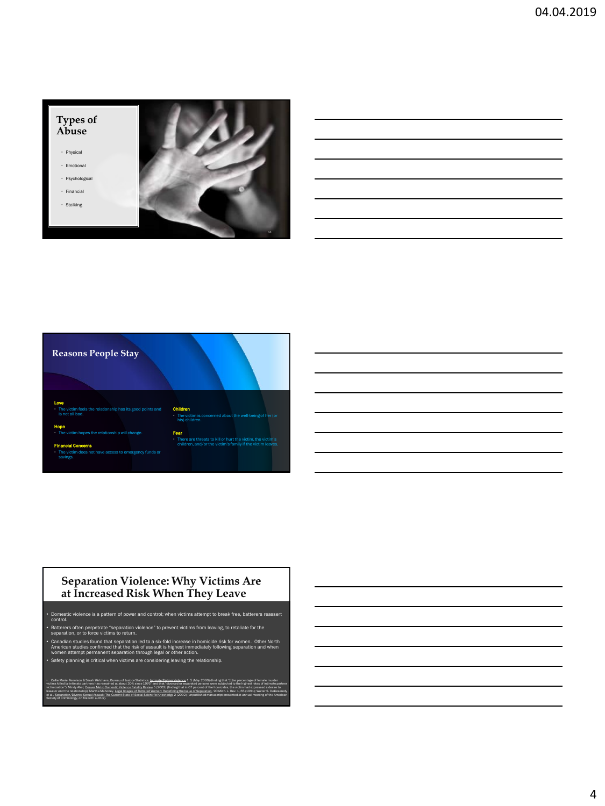



### **Separation Violence: Why Victims Are at Increased Risk When They Leave**

pt to break free, batte control.

etims from leaving, to retaliate for the separation, or to force victims to return.

Canadian studies found that separation led to a six-fold increase in homicide risk for women. Other North Cont<br>American studies confirmed that the risk of assault is highest immediately following separation and when<br>women  ${\rm ty}$  planning is critical when victims are considering leaving the relatio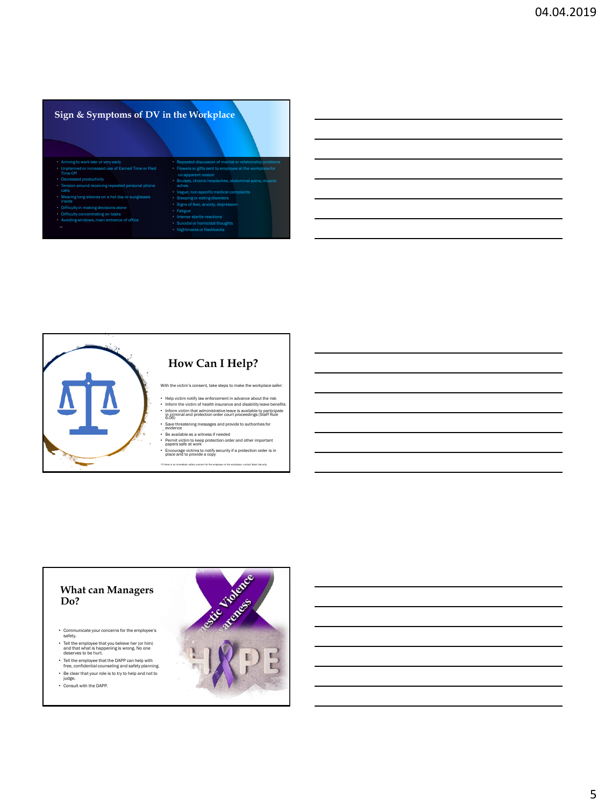# **Sign & Symptoms of DV in the Workplace**

- Arriving to work late or very early Unplanned or increased use of Earned Time or Paid Unplanne<br>Time Off
- 
- ind receiving repeate calls
- 
- 
- Difficulty concentrating on tasks Avoiding windows, main entrance of office
- 
- Repeated discussion of marital or relationship ers or gifts sent to employee at the w chronic headaches, abdoi non-specific medical con Signs of fear, anxiety, depress • Fatigue al or homicidal though
- Nightmares or flashbacks



- 
- 
- Inform victim that administrative leave is available to participate in criminal and protection order court proceedings (Staff Rule 6.06)
- 
- Permit victim to keep protection order and other important papers safe at work
- Encourage victims to notify security if a protection order is in place and to provide a copy

### **What can Managers Do?**

- Communicate your concerns for the employee's safety.
- Tell the employee that you believe her (or him) and that what is happening is wrong. No one deserves to be hurt.
- Tell the employee that the DAPP can help with free, confidential counseling and safety planning.
- Be clear that your role is to try to help and not to judge. • Consult with the DAPP.
- 

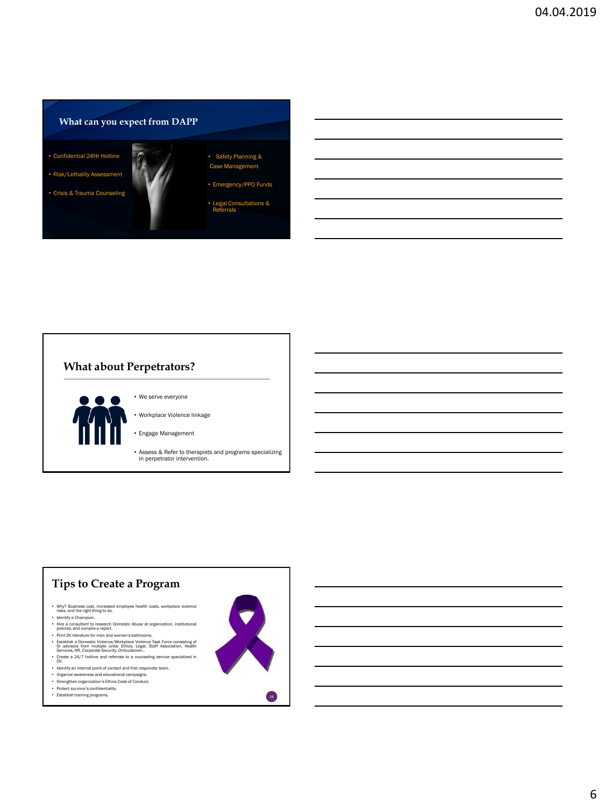# **What can you expect from DAPP**

• Confidential 24Hr Hotline

• Risk/Lethality Assessment

• Crisis & Trauma Counseling

- Safety Planning & Case Management
- Emergency/PPO Funds

• Legal Consultations & Referrals

# **What about Perpetrators?**



• Workplace Violence linkage

• We serve everyone

• Engage Management

• Assess & Refer to therapists and programs specializing in perpetrator intervention.

## **Tips to Create a Program**

- Why? Business cost, increased employee health costs, workplace violence risks, and the right thing to do.
- 
- Identify a Champion. Hire a consultant to research Domestic Abuse at organization, institutional policies, and compile a report. Print DV literature for men and women's bathrooms.
- Establish a Domestic Violence/Workplace Violence Task Force consisting of Sr advisors from multiple units: Ethics, Legal, Staff Association, Health Services, HR, Corporate Security, Ombudsmen..
- Create a 24/7 hotline and referrals to a counseling service specialized in DV.
- Identify an internal point of contact and first responder team. Organize awareness and educational campaigns. Strengthen organization's Ethics Code of Conduct. Protect survivor's confidentiality.
- 
- 
- 

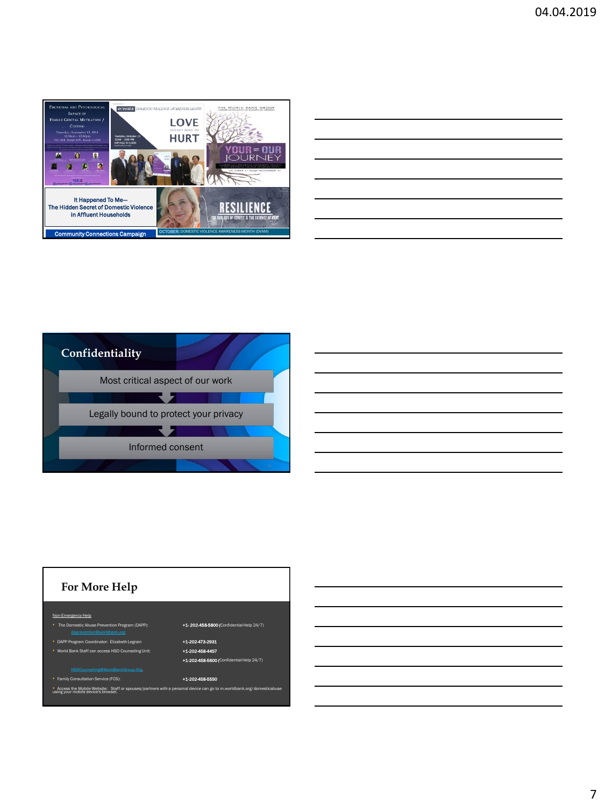





7